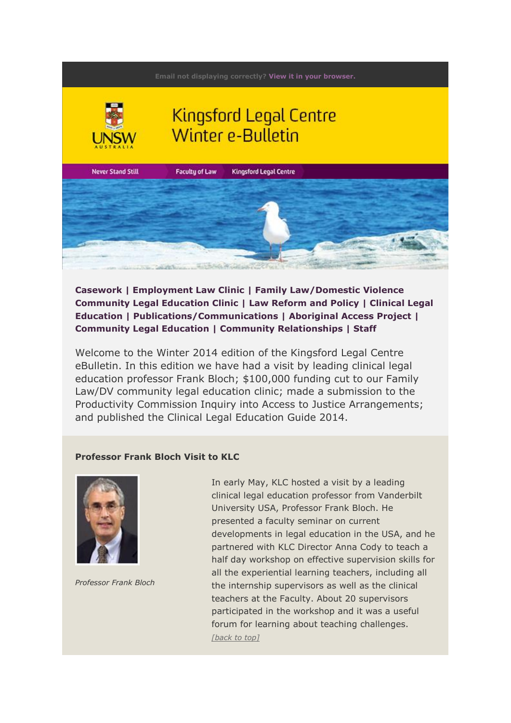<span id="page-0-0"></span>

**[Casework](#page-1-0) | [Employment Law Clinic](#page-3-0) | [Family Law/Domestic Violence](#page-5-0)  [Community Legal Education Clinic](#page-5-0) | [Law Reform and Policy](#page-5-1) | [Clinical Legal](#page-6-0)  [Education](#page-6-0) | [Publications/Communications](#page-7-0) | [Aboriginal Access Project](#page-7-1) | [Community Legal Education](#page-8-0) | [Community Relationships](#page-9-0) | [Staff](#page-10-0)**

Welcome to the Winter 2014 edition of the Kingsford Legal Centre eBulletin. In this edition we have had a visit by leading clinical legal education professor Frank Bloch; \$100,000 funding cut to our Family Law/DV community legal education clinic; made a submission to the Productivity Commission Inquiry into Access to Justice Arrangements; and published the Clinical Legal Education Guide 2014.

## **Professor Frank Bloch Visit to KLC**



*Professor Frank Bloch*

In early May, KLC hosted a visit by a leading clinical legal education professor from Vanderbilt University USA, Professor Frank Bloch. He presented a faculty seminar on current developments in legal education in the USA, and he partnered with KLC Director Anna Cody to teach a half day workshop on effective supervision skills for all the experiential learning teachers, including all the internship supervisors as well as the clinical teachers at the Faculty. About 20 supervisors participated in the workshop and it was a useful forum for learning about teaching challenges. *[\[back to top\]](#page-0-0)*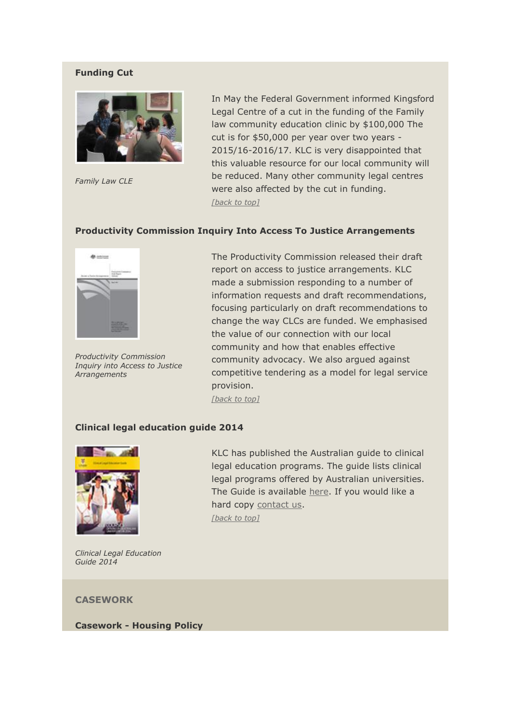# **Funding Cut**



*Family Law CLE*

In May the Federal Government informed Kingsford Legal Centre of a cut in the funding of the Family law community education clinic by \$100,000 The cut is for \$50,000 per year over two years - 2015/16-2016/17. KLC is very disappointed that this valuable resource for our local community will be reduced. Many other community legal centres were also affected by the cut in funding. *[\[back to top\]](#page-0-0)*

### **Productivity Commission Inquiry Into Access To Justice Arrangements**



*Productivity Commission Inquiry into Access to Justice Arrangements*

The Productivity Commission released their draft report on access to justice arrangements. KLC made a submission responding to a number of information requests and draft recommendations, focusing particularly on draft recommendations to change the way CLCs are funded. We emphasised the value of our connection with our local community and how that enables effective community advocacy. We also argued against competitive tendering as a model for legal service provision.

*[\[back to top\]](#page-0-0)*

# **Clinical legal education guide 2014**



*Clinical Legal Education Guide 2014*

KLC has published the Australian guide to clinical legal education programs. The guide lists clinical legal programs offered by Australian universities. The Guide is available [here.](http://issuu.com/unsw_p3design/docs/55386_clinical_legal_education_guid?e=9305792/7586890) If you would like a hard copy [contact us.](mailto:legal@unsw.edu.au?subject=clinical%20legal%20education%20guide%20-%20hard%20copy%20request) *[\[back to top\]](#page-0-0)*

<span id="page-1-0"></span>**CASEWORK**

**Casework - Housing Policy**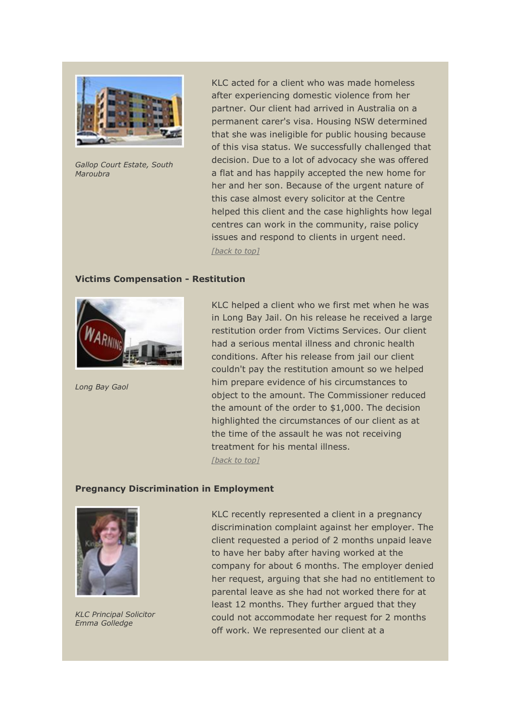

*Gallop Court Estate, South Maroubra*

KLC acted for a client who was made homeless after experiencing domestic violence from her partner. Our client had arrived in Australia on a permanent carer's visa. Housing NSW determined that she was ineligible for public housing because of this visa status. We successfully challenged that decision. Due to a lot of advocacy she was offered a flat and has happily accepted the new home for her and her son. Because of the urgent nature of this case almost every solicitor at the Centre helped this client and the case highlights how legal centres can work in the community, raise policy issues and respond to clients in urgent need. *[\[back to top\]](#page-0-0)*

#### **Victims Compensation - Restitution**



*Long Bay Gaol*

KLC helped a client who we first met when he was in Long Bay Jail. On his release he received a large restitution order from Victims Services. Our client had a serious mental illness and chronic health conditions. After his release from jail our client couldn't pay the restitution amount so we helped him prepare evidence of his circumstances to object to the amount. The Commissioner reduced the amount of the order to \$1,000. The decision highlighted the circumstances of our client as at the time of the assault he was not receiving treatment for his mental illness. *[\[back to top\]](#page-0-0)*

#### **Pregnancy Discrimination in Employment**



*KLC Principal Solicitor Emma Golledge*

KLC recently represented a client in a pregnancy discrimination complaint against her employer. The client requested a period of 2 months unpaid leave to have her baby after having worked at the company for about 6 months. The employer denied her request, arguing that she had no entitlement to parental leave as she had not worked there for at least 12 months. They further argued that they could not accommodate her request for 2 months off work. We represented our client at a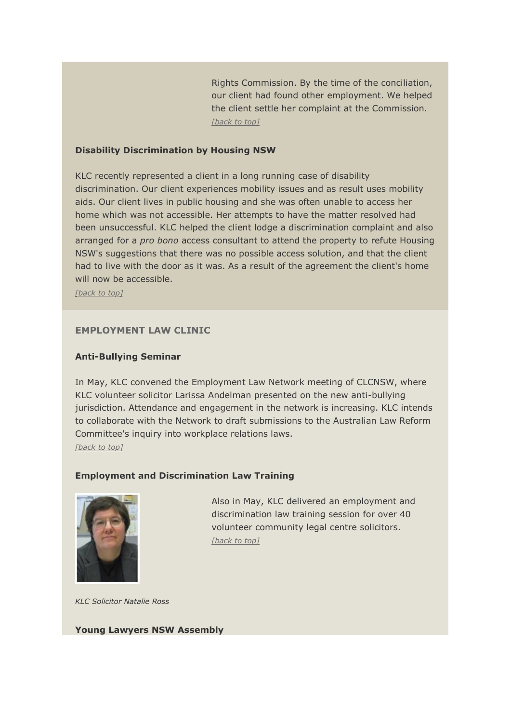Rights Commission. By the time of the conciliation, our client had found other employment. We helped the client settle her complaint at the Commission. *[\[back to top\]](#page-0-0)*

## **Disability Discrimination by Housing NSW**

KLC recently represented a client in a long running case of disability discrimination. Our client experiences mobility issues and as result uses mobility aids. Our client lives in public housing and she was often unable to access her home which was not accessible. Her attempts to have the matter resolved had been unsuccessful. KLC helped the client lodge a discrimination complaint and also arranged for a *pro bono* access consultant to attend the property to refute Housing NSW's suggestions that there was no possible access solution, and that the client had to live with the door as it was. As a result of the agreement the client's home will now be accessible.

*[\[back to top\]](#page-0-0)*

### <span id="page-3-0"></span>**EMPLOYMENT LAW CLINIC**

#### **Anti-Bullying Seminar**

In May, KLC convened the Employment Law Network meeting of CLCNSW, where KLC volunteer solicitor Larissa Andelman presented on the new anti-bullying jurisdiction. Attendance and engagement in the network is increasing. KLC intends to collaborate with the Network to draft submissions to the Australian Law Reform Committee's inquiry into workplace relations laws. *[\[back to top\]](#page-0-0)*

#### **Employment and Discrimination Law Training**



Also in May, KLC delivered an employment and discrimination law training session for over 40 volunteer community legal centre solicitors. *[\[back to top\]](#page-0-0)*

*KLC Solicitor Natalie Ross*

#### **Young Lawyers NSW Assembly**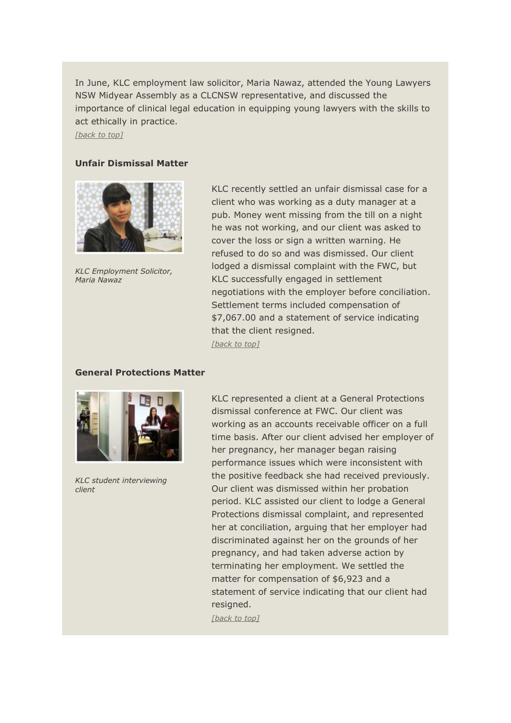In June, KLC employment law solicitor, Maria Nawaz, attended the Young Lawyers NSW Midyear Assembly as a CLCNSW representative, and discussed the importance of clinical legal education in equipping young lawyers with the skills to act ethically in practice.

*[\[back to top\]](#page-0-0)*

# **Unfair Dismissal Matter**



*KLC Employment Solicitor, Maria Nawaz*

KLC recently settled an unfair dismissal case for a client who was working as a duty manager at a pub. Money went missing from the till on a night he was not working, and our client was asked to cover the loss or sign a written warning. He refused to do so and was dismissed. Our client lodged a dismissal complaint with the FWC, but KLC successfully engaged in settlement negotiations with the employer before conciliation. Settlement terms included compensation of \$7,067.00 and a statement of service indicating that the client resigned. *[\[back to top\]](#page-0-0)*

## **General Protections Matter**



*KLC student interviewing client*

KLC represented a client at a General Protections dismissal conference at FWC. Our client was working as an accounts receivable officer on a full time basis. After our client advised her employer of her pregnancy, her manager began raising performance issues which were inconsistent with the positive feedback she had received previously. Our client was dismissed within her probation period. KLC assisted our client to lodge a General Protections dismissal complaint, and represented her at conciliation, arguing that her employer had discriminated against her on the grounds of her pregnancy, and had taken adverse action by terminating her employment. We settled the matter for compensation of \$6,923 and a statement of service indicating that our client had resigned.

*[\[back to top\]](#page-0-0)*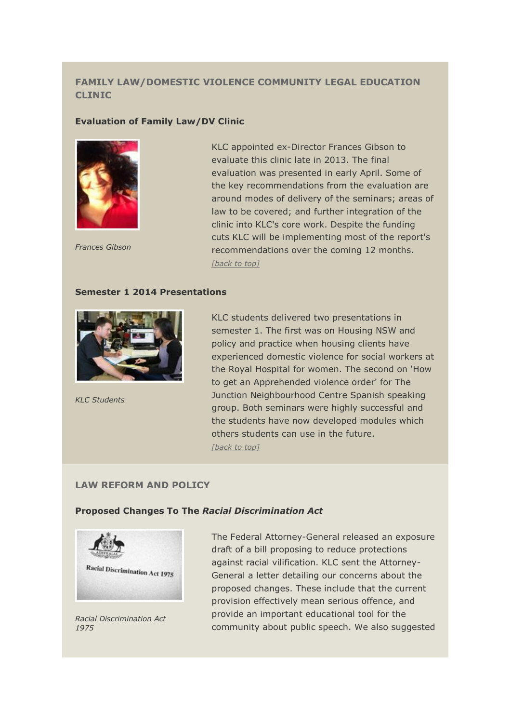# <span id="page-5-0"></span>**FAMILY LAW/DOMESTIC VIOLENCE COMMUNITY LEGAL EDUCATION CLINIC**

### **Evaluation of Family Law/DV Clinic**



KLC appointed ex-Director Frances Gibson to evaluate this clinic late in 2013. The final evaluation was presented in early April. Some of the key recommendations from the evaluation are around modes of delivery of the seminars; areas of law to be covered; and further integration of the clinic into KLC's core work. Despite the funding cuts KLC will be implementing most of the report's recommendations over the coming 12 months. *[back [to top\]](#page-0-0)*

*Frances Gibson*

#### **Semester 1 2014 Presentations**



*KLC Students*

KLC students delivered two presentations in semester 1. The first was on Housing NSW and policy and practice when housing clients have experienced domestic violence for social workers at the Royal Hospital for women. The second on 'How to get an Apprehended violence order' for The Junction Neighbourhood Centre Spanish speaking group. Both seminars were highly successful and the students have now developed modules which others students can use in the future. *[\[back to top\]](#page-0-0)*

# <span id="page-5-1"></span>**LAW REFORM AND POLICY**

### **Proposed Changes To The** *Racial Discrimination Act*



*Racial Discrimination Act 1975*

The Federal Attorney-General released an exposure draft of a bill proposing to reduce protections against racial vilification. KLC sent the Attorney-General a letter detailing our concerns about the proposed changes. These include that the current provision effectively mean serious offence, and provide an important educational tool for the community about public speech. We also suggested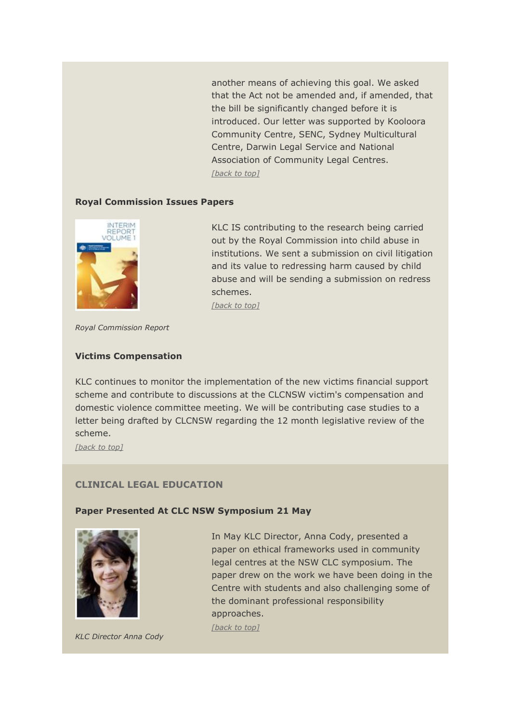another means of achieving this goal. We asked that the Act not be amended and, if amended, that the bill be significantly changed before it is introduced. Our letter was supported by Kooloora Community Centre, SENC, Sydney Multicultural Centre, Darwin Legal Service and National Association of Community Legal Centres. *[\[back to top\]](#page-0-0)*

### **Royal Commission Issues Papers**



KLC IS contributing to the research being carried out by the Royal Commission into child abuse in institutions. We sent a submission on civil litigation and its value to redressing harm caused by child abuse and will be sending a submission on redress schemes.

*[\[back to top\]](#page-0-0)*

*Royal Commission Report*

#### **Victims Compensation**

KLC continues to monitor the implementation of the new victims financial support scheme and contribute to discussions at the CLCNSW victim's compensation and domestic violence committee meeting. We will be contributing case studies to a letter being drafted by CLCNSW regarding the 12 month legislative review of the scheme.

*[\[back to top\]](#page-0-0)*

# <span id="page-6-0"></span>**CLINICAL LEGAL EDUCATION**

#### **Paper Presented At CLC NSW Symposium 21 May**



*KLC Director Anna Cody*

In May KLC Director, Anna Cody, presented a paper on ethical frameworks used in community legal centres at the NSW CLC symposium. The paper drew on the work we have been doing in the Centre with students and also challenging some of the dominant professional responsibility approaches.

*[\[back to top\]](#page-0-0)*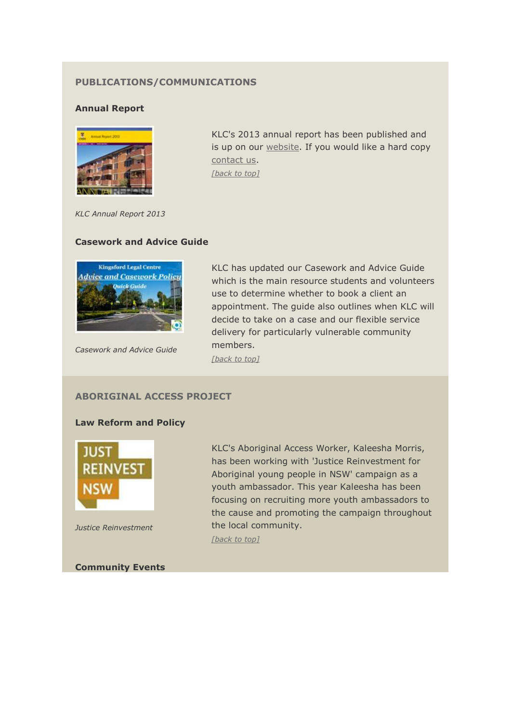# <span id="page-7-0"></span>**PUBLICATIONS/COMMUNICATIONS**

# **Annual Report**



KLC's 2013 annual report has been published and is up on our [website.](http://issuu.com/unsw_p3design/docs/issuu_klc_annual_report?e=9305792/7936882) If you would like a hard copy [contact us.](mailto:legal@unsw.edu.au?subject=annual%20report%20-%20hard%20copy%20request) *[\[back to top\]](#page-0-0)*

*KLC Annual Report 2013*

# **Casework and Advice Guide**



*Casework and Advice Guide*

KLC has updated our Casework and Advice Guide which is the main resource students and volunteers use to determine whether to book a client an appointment. The guide also outlines when KLC will decide to take on a case and our flexible service delivery for particularly vulnerable community members.

*[\[back to top\]](#page-0-0)*

# <span id="page-7-1"></span>**ABORIGINAL ACCESS PROJECT**

### **Law Reform and Policy**



*Justice Reinvestment*

**Community Events**

KLC's Aboriginal Access Worker, Kaleesha Morris, has been working with 'Justice Reinvestment for Aboriginal young people in NSW' campaign as a youth ambassador. This year Kaleesha has been focusing on recruiting more youth ambassadors to the cause and promoting the campaign throughout the local community. *[\[back to top\]](#page-0-0)*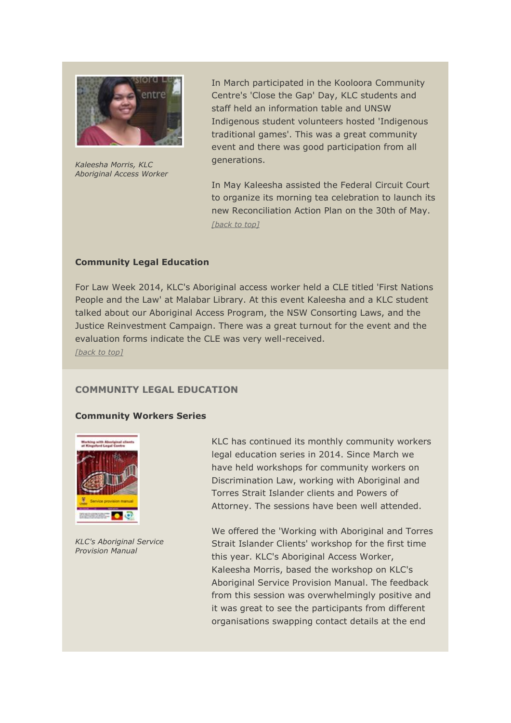

*Kaleesha Morris, KLC Aboriginal Access Worker*

In March participated in the Kooloora Community Centre's 'Close the Gap' Day, KLC students and staff held an information table and UNSW Indigenous student volunteers hosted 'Indigenous traditional games'. This was a great community event and there was good participation from all generations.

In May Kaleesha assisted the Federal Circuit Court to organize its morning tea celebration to launch its new Reconciliation Action Plan on the 30th of May. *[\[back to top\]](#page-0-0)*

## **Community Legal Education**

For Law Week 2014, KLC's Aboriginal access worker held a CLE titled 'First Nations People and the Law' at Malabar Library. At this event Kaleesha and a KLC student talked about our Aboriginal Access Program, the NSW Consorting Laws, and the Justice Reinvestment Campaign. There was a great turnout for the event and the evaluation forms indicate the CLE was very well-received. *[\[back to top\]](#page-0-0)*

# <span id="page-8-0"></span>**COMMUNITY LEGAL EDUCATION**

## **Community Workers Series**



*KLC's Aboriginal Service Provision Manual*

KLC has continued its monthly community workers legal education series in 2014. Since March we have held workshops for community workers on Discrimination Law, working with Aboriginal and Torres Strait Islander clients and Powers of Attorney. The sessions have been well attended.

We offered the 'Working with Aboriginal and Torres Strait Islander Clients' workshop for the first time this year. KLC's Aboriginal Access Worker, Kaleesha Morris, based the workshop on KLC's Aboriginal Service Provision Manual. The feedback from this session was overwhelmingly positive and it was great to see the participants from different organisations swapping contact details at the end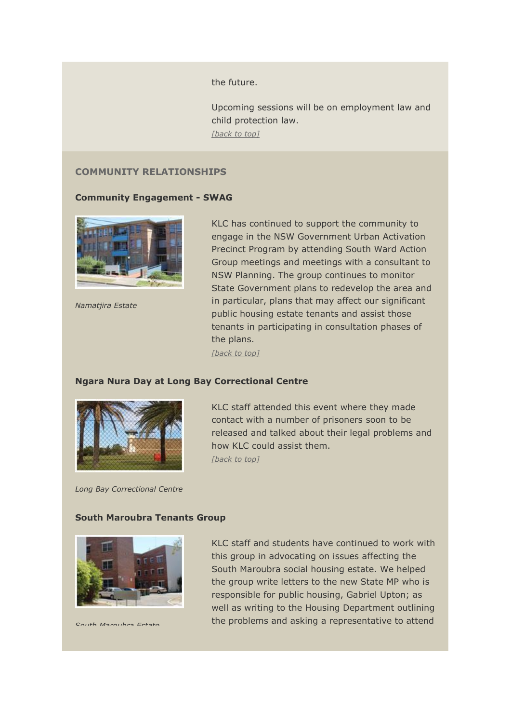the future.

Upcoming sessions will be on employment law and child protection law. *[\[back to top\]](#page-0-0)*

# <span id="page-9-0"></span>**COMMUNITY RELATIONSHIPS**

### **Community Engagement - SWAG**



*Namatjira Estate*

KLC has continued to support the community to engage in the NSW Government Urban Activation Precinct Program by attending South Ward Action Group meetings and meetings with a consultant to NSW Planning. The group continues to monitor State Government plans to redevelop the area and in particular, plans that may affect our significant public housing estate tenants and assist those tenants in participating in consultation phases of the plans.

*[\[back to top\]](#page-0-0)*

#### **Ngara Nura Day at Long Bay Correctional Centre**



*Long Bay Correctional Centre*

KLC staff attended this event where they made contact with a number of prisoners soon to be released and talked about their legal problems and how KLC could assist them. *[\[back to top\]](#page-0-0)*

#### **South Maroubra Tenants Group**



*South Maroubra Estate*

KLC staff and students have continued to work with this group in advocating on issues affecting the South Maroubra social housing estate. We helped the group write letters to the new State MP who is responsible for public housing, Gabriel Upton; as well as writing to the Housing Department outlining the problems and asking a representative to attend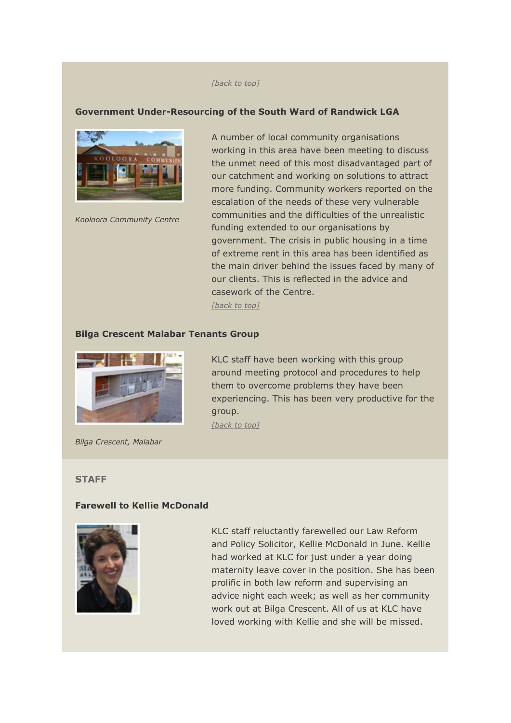#### *[\[back to top\]](#page-0-0)*

### **Government Under-Resourcing of the South Ward of Randwick LGA**



*Kooloora Community Centre*

A number of local community organisations working in this area have been meeting to discuss the unmet need of this most disadvantaged part of our catchment and working on solutions to attract more funding. Community workers reported on the escalation of the needs of these very vulnerable communities and the difficulties of the unrealistic funding extended to our organisations by government. The crisis in public housing in a time of extreme rent in this area has been identified as the main driver behind the issues faced by many of our clients. This is reflected in the advice and casework of the Centre.

*[\[back to top\]](#page-0-0)*

#### **Bilga Crescent Malabar Tenants Group**



*Bilga Crescent, Malabar*

KLC staff have been working with this group around meeting protocol and procedures to help them to overcome problems they have been experiencing. This has been very productive for the group. *[\[back to top\]](#page-0-0)*

#### <span id="page-10-0"></span>**STAFF**

#### **Farewell to Kellie McDonald**



KLC staff reluctantly farewelled our Law Reform and Policy Solicitor, Kellie McDonald in June. Kellie had worked at KLC for just under a year doing maternity leave cover in the position. She has been prolific in both law reform and supervising an advice night each week; as well as her community work out at Bilga Crescent. All of us at KLC have loved working with Kellie and she will be missed.